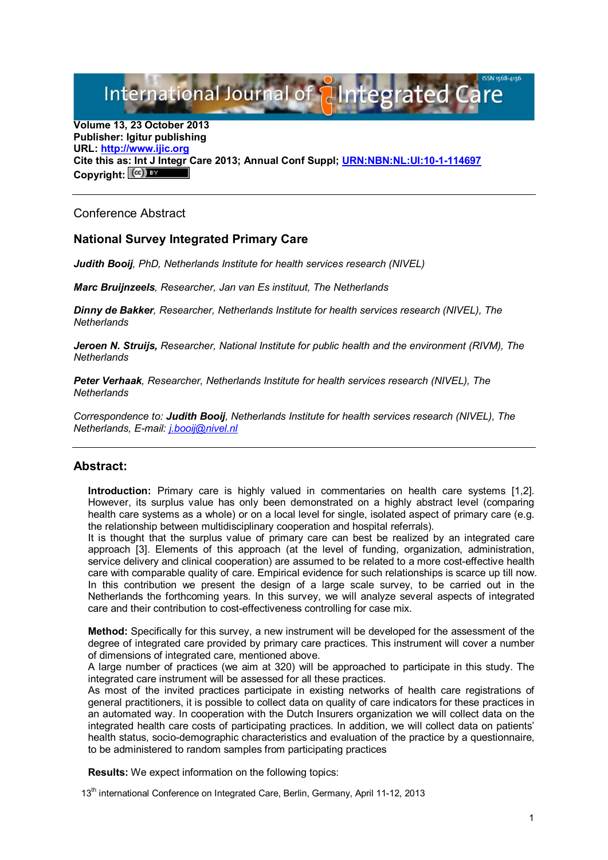International Journal of alntegrated C.

**Volume 13, 23 October 2013 Publisher: Igitur publishing URL: [http://www.ijic.org](http://www.ijic.org/) Cite this as: Int J Integr Care 2013; Annual Conf Suppl; [URN:NBN:NL:UI:10-1-114697](http://persistent-identifier.nl/?identifier=URN:NBN:NL:UI:10-1-114697)** Copyright:  $(cc)$ 

Conference Abstract

## **National Survey Integrated Primary Care**

*Judith Booij, PhD, Netherlands Institute for health services research (NIVEL)*

*Marc Bruijnzeels, Researcher, Jan van Es instituut, The Netherlands*

*Dinny de Bakker, Researcher, Netherlands Institute for health services research (NIVEL), The Netherlands*

*Jeroen N. Struijs, Researcher, National Institute for public health and the environment (RIVM), The Netherlands*

*Peter Verhaak, Researcher, Netherlands Institute for health services research (NIVEL), The Netherlands*

*Correspondence to: Judith Booij, Netherlands Institute for health services research (NIVEL), The Netherlands, E-mail: [j.booij@nivel.nl](mailto:j.booij@nivel.nl)*

## **Abstract:**

**Introduction:** Primary care is highly valued in commentaries on health care systems [1,2]. However, its surplus value has only been demonstrated on a highly abstract level (comparing health care systems as a whole) or on a local level for single, isolated aspect of primary care (e.g. the relationship between multidisciplinary cooperation and hospital referrals).

It is thought that the surplus value of primary care can best be realized by an integrated care approach [3]. Elements of this approach (at the level of funding, organization, administration, service delivery and clinical cooperation) are assumed to be related to a more cost-effective health care with comparable quality of care. Empirical evidence for such relationships is scarce up till now. In this contribution we present the design of a large scale survey, to be carried out in the Netherlands the forthcoming years. In this survey, we will analyze several aspects of integrated care and their contribution to cost-effectiveness controlling for case mix.

**Method:** Specifically for this survey, a new instrument will be developed for the assessment of the degree of integrated care provided by primary care practices. This instrument will cover a number of dimensions of integrated care, mentioned above.

A large number of practices (we aim at 320) will be approached to participate in this study. The integrated care instrument will be assessed for all these practices.

As most of the invited practices participate in existing networks of health care registrations of general practitioners, it is possible to collect data on quality of care indicators for these practices in an automated way. In cooperation with the Dutch Insurers organization we will collect data on the integrated health care costs of participating practices. In addition, we will collect data on patients' health status, socio-demographic characteristics and evaluation of the practice by a questionnaire, to be administered to random samples from participating practices

**Results:** We expect information on the following topics:

13<sup>th</sup> international Conference on Integrated Care, Berlin, Germany, April 11-12, 2013